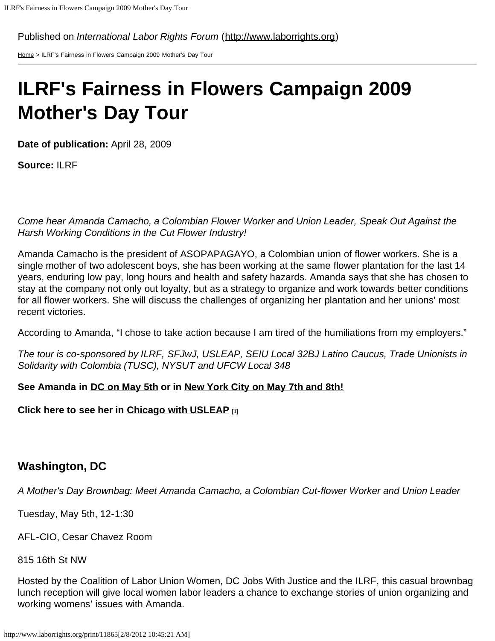Published on *International Labor Rights Forum* ([http://www.laborrights.org\)](http://www.laborrights.org/)

[Home](http://www.laborrights.org/) > ILRF's Fairness in Flowers Campaign 2009 Mother's Day Tour

# **ILRF's Fairness in Flowers Campaign 2009 Mother's Day Tour**

**Date of publication:** April 28, 2009

**Source:** ILRF

*Come hear Amanda Camacho, a Colombian Flower Worker and Union Leader, Speak Out Against the Harsh Working Conditions in the Cut Flower Industry!*

Amanda Camacho is the president of ASOPAPAGAYO, a Colombian union of flower workers. She is a single mother of two adolescent boys, she has been working at the same flower plantation for the last 14 years, enduring low pay, long hours and health and safety hazards. Amanda says that she has chosen to stay at the company not only out loyalty, but as a strategy to organize and work towards better conditions for all flower workers. She will discuss the challenges of organizing her plantation and her unions' most recent victories.

According to Amanda, "I chose to take action because I am tired of the humiliations from my employers."

*The tour is co-sponsored by ILRF, SFJwJ, USLEAP, SEIU Local 32BJ Latino Caucus, Trade Unionists in Solidarity with Colombia (TUSC), NYSUT and UFCW Local 348*

### **See Amanda in [DC on May 5th](#page-0-0) or in [New York City on May 7th and 8th!](#page-1-0)**

<span id="page-0-0"></span>**Click here to see her in [Chicago with USLEAP](http://www.usleap.org/usleaps-mothers-day-story-tour) [1]**

## **Washington, DC**

*A Mother's Day Brownbag: Meet Amanda Camacho, a Colombian Cut-flower Worker and Union Leader*

Tuesday, May 5th, 12-1:30

AFL-CIO, Cesar Chavez Room

815 16th St NW

Hosted by the Coalition of Labor Union Women, DC Jobs With Justice and the ILRF, this casual brownbag lunch reception will give local women labor leaders a chance to exchange stories of union organizing and working womens' issues with Amanda.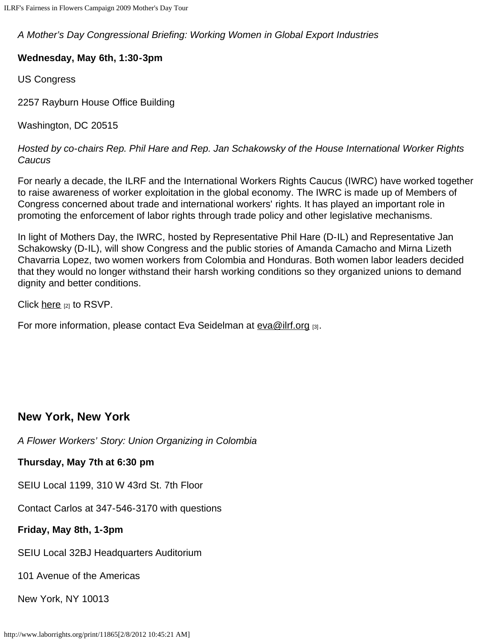*A Mother's Day Congressional Briefing: Working Women in Global Export Industries*

#### **Wednesday, May 6th, 1:30-3pm**

US Congress

2257 Rayburn House Office Building

Washington, DC 20515

*Hosted by co-chairs Rep. Phil Hare and Rep. Jan Schakowsky of the House International Worker Rights Caucus*

For nearly a decade, the ILRF and the International Workers Rights Caucus (IWRC) have worked together to raise awareness of worker exploitation in the global economy. The IWRC is made up of Members of Congress concerned about trade and international workers' rights. It has played an important role in promoting the enforcement of labor rights through trade policy and other legislative mechanisms.

In light of Mothers Day, the IWRC, hosted by Representative Phil Hare (D-IL) and Representative Jan Schakowsky (D-IL), will show Congress and the public stories of Amanda Camacho and Mirna Lizeth Chavarria Lopez, two women workers from Colombia and Honduras. Both women labor leaders decided that they would no longer withstand their harsh working conditions so they organized unions to demand dignity and better conditions.

Click [here](http://www.unionvoice.org/laborrights/events/mothersdaybriefing/details.tcl)  $[2]$  to RSVP.

For more information, please contact Eva Seidelman at  $e$ va@ilrf.org  $_{[3]}$ .

## <span id="page-1-0"></span>**New York, New York**

*A Flower Workers' Story: Union Organizing in Colombia*

**Thursday, May 7th at 6:30 pm**

SEIU Local 1199, 310 W 43rd St. 7th Floor

Contact Carlos at 347-546-3170 with questions

**Friday, May 8th, 1-3pm**

SEIU Local 32BJ Headquarters Auditorium

101 Avenue of the Americas

New York, NY 10013